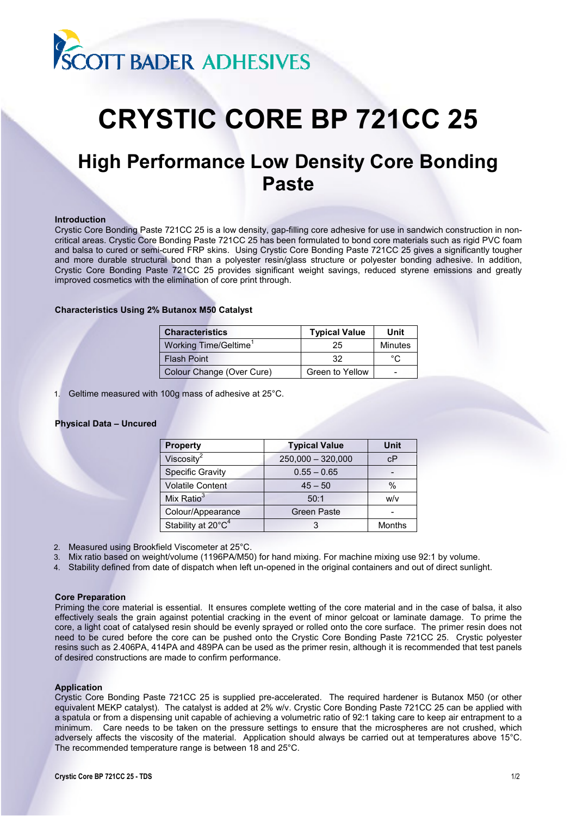

# **CRYSTIC CORE BP 721CC 25**

# **High Performance Low Density Core Bonding Paste**

#### **Introduction**

Crystic Core Bonding Paste 721CC 25 is a low density, gap-filling core adhesive for use in sandwich construction in noncritical areas. Crystic Core Bonding Paste 721CC 25 has been formulated to bond core materials such as rigid PVC foam and balsa to cured or semi-cured FRP skins. Using Crystic Core Bonding Paste 721CC 25 gives a significantly tougher and more durable structural bond than a polyester resin/glass structure or polyester bonding adhesive. In addition, Crystic Core Bonding Paste 721CC 25 provides significant weight savings, reduced styrene emissions and greatly improved cosmetics with the elimination of core print through.

# **Characteristics Using 2% Butanox M50 Catalyst**

| <b>Characteristics</b>    | <b>Typical Value</b> | Unit    |
|---------------------------|----------------------|---------|
| Working Time/Geltime      | 25                   | Minutes |
| <b>Flash Point</b>        | 32                   | °∩      |
| Colour Change (Over Cure) | Green to Yellow      |         |

1. Geltime measured with 100g mass of adhesive at 25°C.

# **Physical Data – Uncured**

| <b>Property</b>                | <b>Typical Value</b> | Unit   |
|--------------------------------|----------------------|--------|
| Viscosity $2$                  | $250,000 - 320,000$  | cP     |
| <b>Specific Gravity</b>        | $0.55 - 0.65$        |        |
| <b>Volatile Content</b>        | $45 - 50$            | $\%$   |
| Mix Ratio $3$                  | 50:1                 | w/v    |
| Colour/Appearance              | <b>Green Paste</b>   |        |
| Stability at 20°C <sup>4</sup> |                      | Months |

2. Measured using Brookfield Viscometer at 25°C.

3. Mix ratio based on weight/volume (1196PA/M50) for hand mixing. For machine mixing use 92:1 by volume.

4. Stability defined from date of dispatch when left un-opened in the original containers and out of direct sunlight.

# **Core Preparation**

Priming the core material is essential. It ensures complete wetting of the core material and in the case of balsa, it also effectively seals the grain against potential cracking in the event of minor gelcoat or laminate damage. To prime the core, a light coat of catalysed resin should be evenly sprayed or rolled onto the core surface. The primer resin does not need to be cured before the core can be pushed onto the Crystic Core Bonding Paste 721CC 25. Crystic polyester resins such as 2.406PA, 414PA and 489PA can be used as the primer resin, although it is recommended that test panels of desired constructions are made to confirm performance.

# **Application**

Crystic Core Bonding Paste 721CC 25 is supplied pre-accelerated. The required hardener is Butanox M50 (or other equivalent MEKP catalyst). The catalyst is added at 2% w/v. Crystic Core Bonding Paste 721CC 25 can be applied with a spatula or from a dispensing unit capable of achieving a volumetric ratio of 92:1 taking care to keep air entrapment to a minimum. Care needs to be taken on the pressure settings to ensure that the microspheres are not crushed, which adversely affects the viscosity of the material. Application should always be carried out at temperatures above 15°C. The recommended temperature range is between 18 and 25°C.